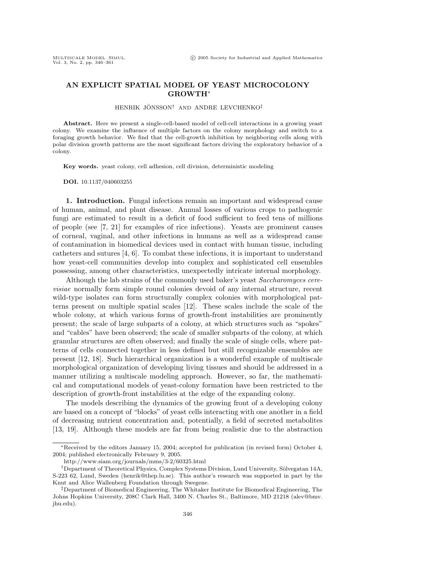# **AN EXPLICIT SPATIAL MODEL OF YEAST MICROCOLONY GROWTH**∗

### HENRIK JÖNSSON<sup>†</sup> AND ANDRE LEVCHENKO<sup>‡</sup>

Abstract. Here we present a single-cell-based model of cell-cell interactions in a growing yeast colony. We examine the influence of multiple factors on the colony morphology and switch to a foraging growth behavior. We find that the cell-growth inhibition by neighboring cells along with polar division growth patterns are the most significant factors driving the exploratory behavior of a colony.

**Key words.** yeast colony, cell adhesion, cell division, deterministic modeling

**DOI.** 10.1137/040603255

**1. Introduction.** Fungal infections remain an important and widespread cause of human, animal, and plant disease. Annual losses of various crops to pathogenic fungi are estimated to result in a deficit of food sufficient to feed tens of millions of people (see [7, 21] for examples of rice infections). Yeasts are prominent causes of corneal, vaginal, and other infections in humans as well as a widespread cause of contamination in biomedical devices used in contact with human tissue, including catheters and sutures [4, 6]. To combat these infections, it is important to understand how yeast-cell communities develop into complex and sophisticated cell ensembles possessing, among other characteristics, unexpectedly intricate internal morphology.

Although the lab strains of the commonly used baker's yeast Saccharomyces cerevisiae normally form simple round colonies devoid of any internal structure, recent wild-type isolates can form structurally complex colonies with morphological patterns present on multiple spatial scales [12]. These scales include the scale of the whole colony, at which various forms of growth-front instabilities are prominently present; the scale of large subparts of a colony, at which structures such as "spokes" and "cables" have been observed; the scale of smaller subparts of the colony, at which granular structures are often observed; and finally the scale of single cells, where patterns of cells connected together in less defined but still recognizable ensembles are present [12, 18]. Such hierarchical organization is a wonderful example of multiscale morphological organization of developing living tissues and should be addressed in a manner utilizing a multiscale modeling approach. However, so far, the mathematical and computational models of yeast-colony formation have been restricted to the description of growth-front instabilities at the edge of the expanding colony.

The models describing the dynamics of the growing front of a developing colony are based on a concept of "blocks" of yeast cells interacting with one another in a field of decreasing nutrient concentration and, potentially, a field of secreted metabolites [13, 19]. Although these models are far from being realistic due to the abstraction

<sup>∗</sup>Received by the editors January 15, 2004; accepted for publication (in revised form) October 4, 2004; published electronically February 9, 2005.

http://www.siam.org/journals/mms/3-2/60325.html

<sup>&</sup>lt;sup>†</sup>Department of Theoretical Physics, Complex Systems Division, Lund University, Sölvegatan 14A, S-223 62, Lund, Sweden (henrik@thep.lu.se). This author's research was supported in part by the Knut and Alice Wallenberg Foundation through Swegene.

<sup>‡</sup>Department of Biomedical Engineering, The Whitaker Institute for Biomedical Engineering, The Johns Hopkins University, 208C Clark Hall, 3400 N. Charles St., Baltimore, MD 21218 (alev@bmv. jhu.edu).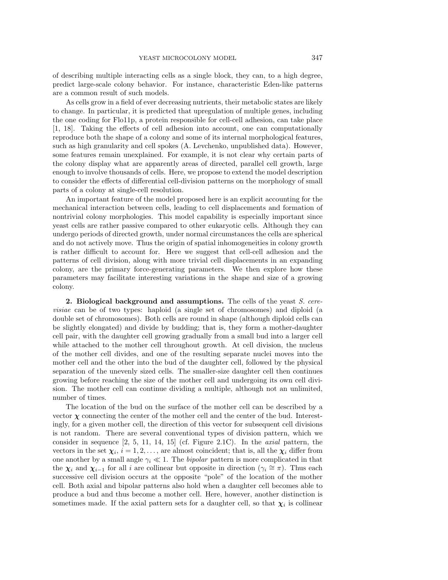of describing multiple interacting cells as a single block, they can, to a high degree, predict large-scale colony behavior. For instance, characteristic Eden-like patterns are a common result of such models.

As cells grow in a field of ever decreasing nutrients, their metabolic states are likely to change. In particular, it is predicted that upregulation of multiple genes, including the one coding for Flo11p, a protein responsible for cell-cell adhesion, can take place [1, 18]. Taking the effects of cell adhesion into account, one can computationally reproduce both the shape of a colony and some of its internal morphological features, such as high granularity and cell spokes (A. Levchenko, unpublished data). However, some features remain unexplained. For example, it is not clear why certain parts of the colony display what are apparently areas of directed, parallel cell growth, large enough to involve thousands of cells. Here, we propose to extend the model description to consider the effects of differential cell-division patterns on the morphology of small parts of a colony at single-cell resolution.

An important feature of the model proposed here is an explicit accounting for the mechanical interaction between cells, leading to cell displacements and formation of nontrivial colony morphologies. This model capability is especially important since yeast cells are rather passive compared to other eukaryotic cells. Although they can undergo periods of directed growth, under normal circumstances the cells are spherical and do not actively move. Thus the origin of spatial inhomogeneities in colony growth is rather difficult to account for. Here we suggest that cell-cell adhesion and the patterns of cell division, along with more trivial cell displacements in an expanding colony, are the primary force-generating parameters. We then explore how these parameters may facilitate interesting variations in the shape and size of a growing colony.

**2. Biological background and assumptions.** The cells of the yeast S. cerevisiae can be of two types: haploid (a single set of chromosomes) and diploid (a double set of chromosomes). Both cells are round in shape (although diploid cells can be slightly elongated) and divide by budding; that is, they form a mother-daughter cell pair, with the daughter cell growing gradually from a small bud into a larger cell while attached to the mother cell throughout growth. At cell division, the nucleus of the mother cell divides, and one of the resulting separate nuclei moves into the mother cell and the other into the bud of the daughter cell, followed by the physical separation of the unevenly sized cells. The smaller-size daughter cell then continues growing before reaching the size of the mother cell and undergoing its own cell division. The mother cell can continue dividing a multiple, although not an unlimited, number of times.

The location of the bud on the surface of the mother cell can be described by a vector  $\chi$  connecting the center of the mother cell and the center of the bud. Interestingly, for a given mother cell, the direction of this vector for subsequent cell divisions is not random. There are several conventional types of division pattern, which we consider in sequence  $\begin{bmatrix} 2, 5, 11, 14, 15 \end{bmatrix}$  (cf. Figure 2.1C). In the *axial* pattern, the vectors in the set  $\chi_i$ ,  $i = 1, 2, \ldots$ , are almost coincident; that is, all the  $\chi_i$  differ from one another by a small angle  $\gamma_i \ll 1$ . The *bipolar* pattern is more complicated in that the  $\chi_i$  and  $\chi_{i-1}$  for all i are collinear but opposite in direction ( $\gamma_i \cong \pi$ ). Thus each successive cell division occurs at the opposite "pole" of the location of the mother cell. Both axial and bipolar patterns also hold when a daughter cell becomes able to produce a bud and thus become a mother cell. Here, however, another distinction is sometimes made. If the axial pattern sets for a daughter cell, so that  $\chi_i$  is collinear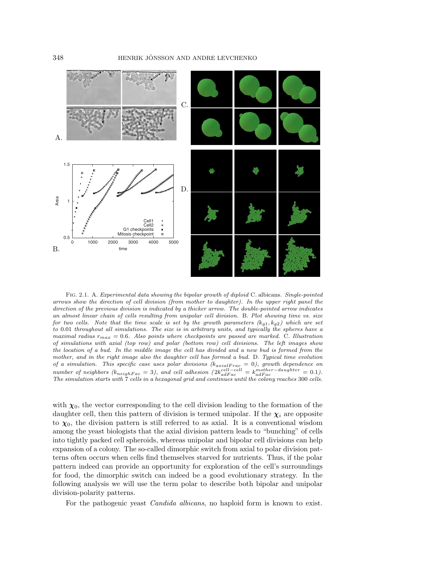

Fig. 2.1. A. Experimental data showing the bipolar growth of diploid C. albicans. Single-pointed arrows show the direction of cell division (from mother to daughter). In the upper right panel the direction of the previous division is indicated by a thicker arrow. The double-pointed arrow indicates an almost linear chain of cells resulting from unipolar cell division. B. Plot showing time vs. size for two cells. Note that the time scale is set by the growth parameters  $(k_{g1}, k_{g2})$  which are set to 0.01 throughout all simulations. The size is in arbitrary units, and typically the spheres have a maximal radius  $r_{max} = 0.6$ . Also points where checkpoints are passed are marked. C. Illustration of simulations with axial (top row) and polar (bottom row) cell divisions. The left images show the location of a bud. In the middle image the cell has divided and a new bud is formed from the mother, and in the right image also the daughter cell has formed a bud. D. Typical time evolution of a simulation. This specific case uses polar divisions  $(k_{axialFrac} = 0)$ , growth dependence on number of neighbors ( $k_{neighFac} = 3$ ), and cell adhesion ( $2k_{adFac}^{cell-cell} = k_{adFac}^{mother-daughter} = 0.1$ ).<br>The simulation starts with 7 cells in a hexagonal grid and continues until the colony reaches 300 cells.

with  $\chi_0$ , the vector corresponding to the cell division leading to the formation of the daughter cell, then this pattern of division is termed unipolar. If the  $\chi_i$  are opposite to  $\chi_0$ , the division pattern is still referred to as axial. It is a conventional wisdom among the yeast biologists that the axial division pattern leads to "bunching" of cells into tightly packed cell spheroids, whereas unipolar and bipolar cell divisions can help expansion of a colony. The so-called dimorphic switch from axial to polar division patterns often occurs when cells find themselves starved for nutrients. Thus, if the polar pattern indeed can provide an opportunity for exploration of the cell's surroundings for food, the dimorphic switch can indeed be a good evolutionary strategy. In the following analysis we will use the term polar to describe both bipolar and unipolar division-polarity patterns.

For the pathogenic yeast *Candida albicans*, no haploid form is known to exist.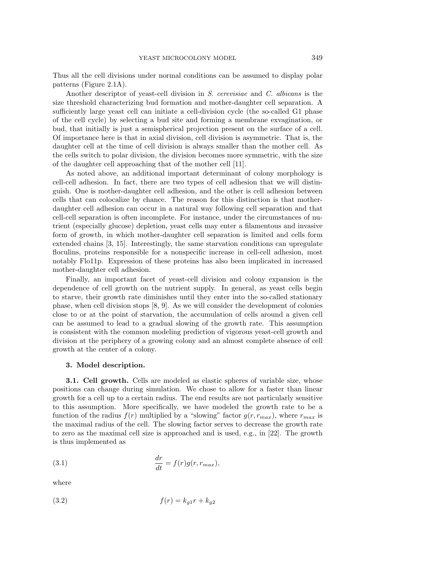Thus all the cell divisions under normal conditions can be assumed to display polar patterns (Figure 2.1A).

Another descriptor of yeast-cell division in S. cerevisiae and C. albicans is the size threshold characterizing bud formation and mother-daughter cell separation. A sufficiently large yeast cell can initiate a cell-division cycle (the so-called G1 phase of the cell cycle) by selecting a bud site and forming a membrane exvagination, or bud, that initially is just a semispherical projection present on the surface of a cell. Of importance here is that in axial division, cell division is asymmetric. That is, the daughter cell at the time of cell division is always smaller than the mother cell. As the cells switch to polar division, the division becomes more symmetric, with the size of the daughter cell approaching that of the mother cell [11].

As noted above, an additional important determinant of colony morphology is cell-cell adhesion. In fact, there are two types of cell adhesion that we will distinguish. One is mother-daughter cell adhesion, and the other is cell adhesion between cells that can colocalize by chance. The reason for this distinction is that motherdaughter cell adhesion can occur in a natural way following cell separation and that cell-cell separation is often incomplete. For instance, under the circumstances of nutrient (especially glucose) depletion, yeast cells may enter a filamentous and invasive form of growth, in which mother-daughter cell separation is limited and cells form extended chains [3, 15]. Interestingly, the same starvation conditions can upregulate floculins, proteins responsible for a nonspecific increase in cell-cell adhesion, most notably Flo11p. Expression of these proteins has also been implicated in increased mother-daughter cell adhesion.

Finally, an important facet of yeast-cell division and colony expansion is the dependence of cell growth on the nutrient supply. In general, as yeast cells begin to starve, their growth rate diminishes until they enter into the so-called stationary phase, when cell division stops [8, 9]. As we will consider the development of colonies close to or at the point of starvation, the accumulation of cells around a given cell can be assumed to lead to a gradual slowing of the growth rate. This assumption is consistent with the common modeling prediction of vigorous yeast-cell growth and division at the periphery of a growing colony and an almost complete absence of cell growth at the center of a colony.

### **3. Model description.**

**3.1. Cell growth.** Cells are modeled as elastic spheres of variable size, whose positions can change during simulation. We chose to allow for a faster than linear growth for a cell up to a certain radius. The end results are not particularly sensitive to this assumption. More specifically, we have modeled the growth rate to be a function of the radius  $f(r)$  multiplied by a "slowing" factor  $g(r, r_{max})$ , where  $r_{max}$  is the maximal radius of the cell. The slowing factor serves to decrease the growth rate to zero as the maximal cell size is approached and is used, e.g., in [22]. The growth is thus implemented as

(3.1) 
$$
\frac{dr}{dt} = f(r)g(r,r_{max}),
$$

where

$$
(3.2) \t\t f(r) = k_{g1}r + k_{g2}
$$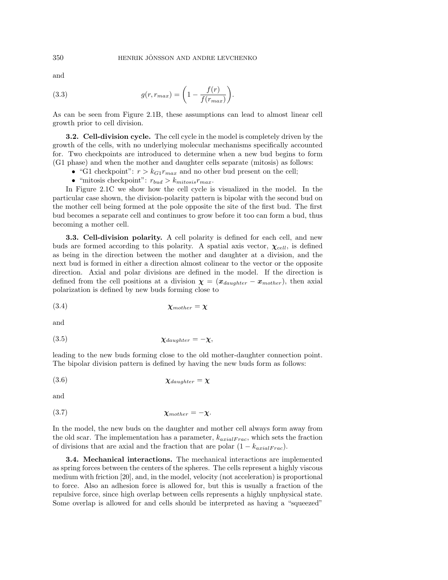and

(3.3) 
$$
g(r,r_{max}) = \left(1 - \frac{f(r)}{f(r_{max})}\right).
$$

As can be seen from Figure 2.1B, these assumptions can lead to almost linear cell growth prior to cell division.

**3.2. Cell-division cycle.** The cell cycle in the model is completely driven by the growth of the cells, with no underlying molecular mechanisms specifically accounted for. Two checkpoints are introduced to determine when a new bud begins to form (G1 phase) and when the mother and daughter cells separate (mitosis) as follows:

- "G1 checkpoint":  $r > k_{G1}r_{max}$  and no other bud present on the cell;
- "mitosis checkpoint":  $r_{bud} > k_{mitosis}r_{max}$ .

In Figure 2.1C we show how the cell cycle is visualized in the model. In the particular case shown, the division-polarity pattern is bipolar with the second bud on the mother cell being formed at the pole opposite the site of the first bud. The first bud becomes a separate cell and continues to grow before it too can form a bud, thus becoming a mother cell.

**3.3. Cell-division polarity.** A cell polarity is defined for each cell, and new buds are formed according to this polarity. A spatial axis vector,  $\chi_{cell}$ , is defined as being in the direction between the mother and daughter at a division, and the next bud is formed in either a direction almost colinear to the vector or the opposite direction. Axial and polar divisions are defined in the model. If the direction is defined from the cell positions at a division  $\chi = (x_{dayhter} - x_{mother})$ , then axial polarization is defined by new buds forming close to

$$
\chi_{mother} = \chi
$$

and

$$
\chi_{daugtter} = -\chi,
$$

leading to the new buds forming close to the old mother-daughter connection point. The bipolar division pattern is defined by having the new buds form as follows:

$$
\chi_{daughter} = \chi
$$

and

$$
\chi_{mother} = -\chi.
$$

In the model, the new buds on the daughter and mother cell always form away from the old scar. The implementation has a parameter,  $k_{axialFrac}$ , which sets the fraction of divisions that are axial and the fraction that are polar  $(1 - k_{axialFrac})$ .

**3.4. Mechanical interactions.** The mechanical interactions are implemented as spring forces between the centers of the spheres. The cells represent a highly viscous medium with friction [20], and, in the model, velocity (not acceleration) is proportional to force. Also an adhesion force is allowed for, but this is usually a fraction of the repulsive force, since high overlap between cells represents a highly unphysical state. Some overlap is allowed for and cells should be interpreted as having a "squeezed"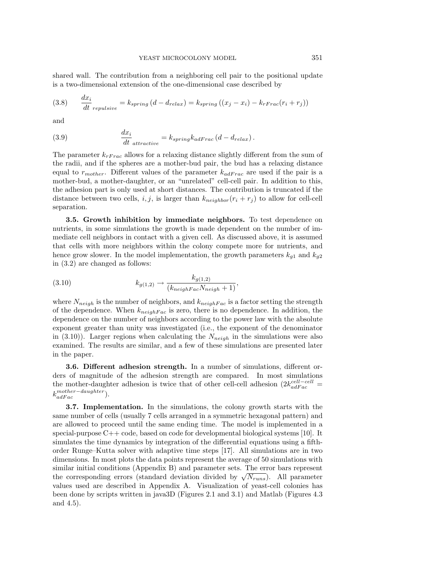shared wall. The contribution from a neighboring cell pair to the positional update is a two-dimensional extension of the one-dimensional case described by

(3.8) 
$$
\frac{dx_i}{dt}_{repulsive} = k_{spring} (d - d_{relax}) = k_{spring} ((x_j - x_i) - k_{rFrac}(r_i + r_j))
$$

and

(3.9) 
$$
\frac{dx_i}{dt}_{attractive} = k_{spring} k_{adFrac}(d - d_{relax}).
$$

The parameter  $k_{rFrac}$  allows for a relaxing distance slightly different from the sum of the radii, and if the spheres are a mother-bud pair, the bud has a relaxing distance equal to  $r_{mother}$ . Different values of the parameter  $k_{adFrac}$  are used if the pair is a mother-bud, a mother-daughter, or an "unrelated" cell-cell pair. In addition to this, the adhesion part is only used at short distances. The contribution is truncated if the distance between two cells, i, j, is larger than  $k_{neighbor}(r_i + r_j)$  to allow for cell-cell separation.

**3.5. Growth inhibition by immediate neighbors.** To test dependence on nutrients, in some simulations the growth is made dependent on the number of immediate cell neighbors in contact with a given cell. As discussed above, it is assumed that cells with more neighbors within the colony compete more for nutrients, and hence grow slower. In the model implementation, the growth parameters  $k_{q1}$  and  $k_{q2}$ in (3.2) are changed as follows:

(3.10) 
$$
k_{g(1,2)} \rightarrow \frac{k_{g(1,2)}}{(k_{neighFac}N_{neigh}+1)},
$$

where  $N_{neigh}$  is the number of neighbors, and  $k_{neighFac}$  is a factor setting the strength of the dependence. When  $k_{neighFac}$  is zero, there is no dependence. In addition, the dependence on the number of neighbors according to the power law with the absolute exponent greater than unity was investigated (i.e., the exponent of the denominator in  $(3.10)$ ). Larger regions when calculating the  $N_{neigh}$  in the simulations were also examined. The results are similar, and a few of these simulations are presented later in the paper.

**3.6. Different adhesion strength.** In a number of simulations, different orders of magnitude of the adhesion strength are compared. In most simulations the mother-daughter adhesion is twice that of other cell-cell adhesion  $(2k_{adFac}^{cell-cell} =$  $k_{adFac}^{mother-daughter}$ .

**3.7. Implementation.** In the simulations, the colony growth starts with the same number of cells (usually 7 cells arranged in a symmetric hexagonal pattern) and are allowed to proceed until the same ending time. The model is implemented in a special-purpose  $C++$  code, based on code for developmental biological systems [10]. It simulates the time dynamics by integration of the differential equations using a fifthorder Runge–Kutta solver with adaptive time steps [17]. All simulations are in two dimensions. In most plots the data points represent the average of 50 simulations with similar initial conditions (Appendix B) and parameter sets. The error bars represent the corresponding errors (standard deviation divided by  $\sqrt{N_{runs}}$ ). All parameter values used are described in Appendix A. Visualization of yeast-cell colonies has been done by scripts written in java3D (Figures 2.1 and 3.1) and Matlab (Figures 4.3 and 4.5).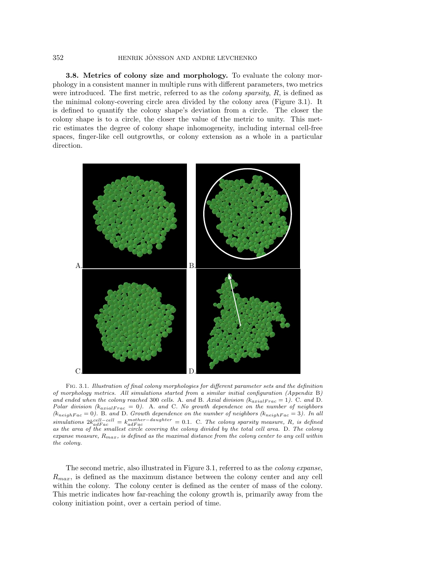**3.8. Metrics of colony size and morphology.** To evaluate the colony morphology in a consistent manner in multiple runs with different parameters, two metrics were introduced. The first metric, referred to as the *colony sparsity*,  $R$ , is defined as the minimal colony-covering circle area divided by the colony area (Figure 3.1). It is defined to quantify the colony shape's deviation from a circle. The closer the colony shape is to a circle, the closer the value of the metric to unity. This metric estimates the degree of colony shape inhomogeneity, including internal cell-free spaces, finger-like cell outgrowths, or colony extension as a whole in a particular direction.



Fig. 3.1. Illustration of final colony morphologies for different parameter sets and the definition of morphology metrics. All simulations started from a similar initial configuration (Appendix B) and ended when the colony reached 300 cells. A. and B. Axial division  $(k_{axialFrac} = 1)$ . C. and D. Polar division  $(k_{axialFrac} = 0)$ . A. and C. No growth dependence on the number of neighbors  $(k_{neighFac} = 0)$ . B. and D. Growth dependence on the number of neighbors  $(k_{neighFac} = 3)$ . In all simulations  $2k_{a}^{cell-cell} = k_{a}^{mother-daughter} = 0.1$ . C. The colony sparsity measure, R, is defined as the area of the smallest circle covering the colony divided by the total cell area. D. The colony expanse measure,  $R_{max}$ , is defined as the maximal distance from the colony center to any cell within the colony.

The second metric, also illustrated in Figure 3.1, referred to as the *colony expanse*,  $R_{max}$ , is defined as the maximum distance between the colony center and any cell within the colony. The colony center is defined as the center of mass of the colony. This metric indicates how far-reaching the colony growth is, primarily away from the colony initiation point, over a certain period of time.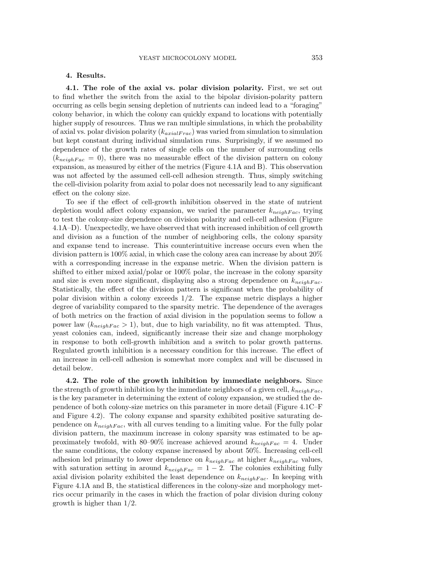## **4. Results.**

**4.1. The role of the axial vs. polar division polarity.** First, we set out to find whether the switch from the axial to the bipolar division-polarity pattern occurring as cells begin sensing depletion of nutrients can indeed lead to a "foraging" colony behavior, in which the colony can quickly expand to locations with potentially higher supply of resources. Thus we ran multiple simulations, in which the probability of axial vs. polar division polarity  $(k_{axialFrac})$  was varied from simulation to simulation but kept constant during individual simulation runs. Surprisingly, if we assumed no dependence of the growth rates of single cells on the number of surrounding cells  $(k_{neichFac} = 0)$ , there was no measurable effect of the division pattern on colony expansion, as measured by either of the metrics (Figure 4.1A and B). This observation was not affected by the assumed cell-cell adhesion strength. Thus, simply switching the cell-division polarity from axial to polar does not necessarily lead to any significant effect on the colony size.

To see if the effect of cell-growth inhibition observed in the state of nutrient depletion would affect colony expansion, we varied the parameter  $k_{neighFac}$ , trying to test the colony-size dependence on division polarity and cell-cell adhesion (Figure 4.1A–D). Unexpectedly, we have observed that with increased inhibition of cell growth and division as a function of the number of neighboring cells, the colony sparsity and expanse tend to increase. This counterintuitive increase occurs even when the division pattern is 100% axial, in which case the colony area can increase by about 20% with a corresponding increase in the expanse metric. When the division pattern is shifted to either mixed axial/polar or 100% polar, the increase in the colony sparsity and size is even more significant, displaying also a strong dependence on  $k_{neighFac}$ . Statistically, the effect of the division pattern is significant when the probability of polar division within a colony exceeds  $1/2$ . The expanse metric displays a higher degree of variability compared to the sparsity metric. The dependence of the averages of both metrics on the fraction of axial division in the population seems to follow a power law  $(k_{neighFac} > 1)$ , but, due to high variability, no fit was attempted. Thus, yeast colonies can, indeed, significantly increase their size and change morphology in response to both cell-growth inhibition and a switch to polar growth patterns. Regulated growth inhibition is a necessary condition for this increase. The effect of an increase in cell-cell adhesion is somewhat more complex and will be discussed in detail below.

**4.2. The role of the growth inhibition by immediate neighbors.** Since the strength of growth inhibition by the immediate neighbors of a given cell,  $k_{neiabFac}$ , is the key parameter in determining the extent of colony expansion, we studied the dependence of both colony-size metrics on this parameter in more detail (Figure 4.1C–F and Figure 4.2). The colony expanse and sparsity exhibited positive saturating dependence on  $k_{neighFac}$ , with all curves tending to a limiting value. For the fully polar division pattern, the maximum increase in colony sparsity was estimated to be approximately twofold, with 80–90% increase achieved around  $k_{neighFac} = 4$ . Under the same conditions, the colony expanse increased by about 50%. Increasing cell-cell adhesion led primarily to lower dependence on  $k_{neighFac}$  at higher  $k_{neighFac}$  values, with saturation setting in around  $k_{neighFac} = 1 - 2$ . The colonies exhibiting fully axial division polarity exhibited the least dependence on  $k_{neighFac}$ . In keeping with Figure 4.1A and B, the statistical differences in the colony-size and morphology metrics occur primarily in the cases in which the fraction of polar division during colony growth is higher than 1/2.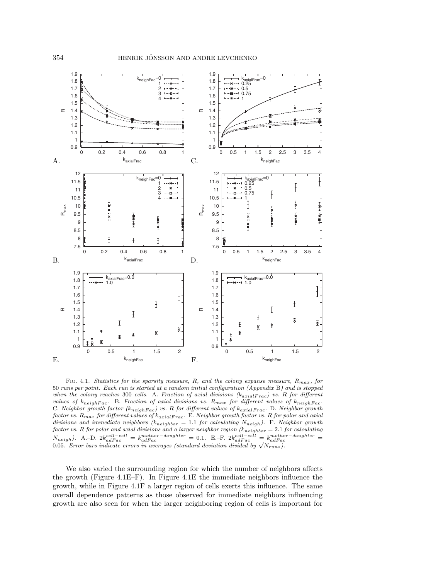

FIG. 4.1. Statistics for the sparsity measure, R, and the colony expanse measure,  $R_{max}$ , for 50 runs per point. Each run is started at a random initial configuration (Appendix B) and is stopped when the colony reaches 300 cells. A. Fraction of axial divisions ( $k_{axialFrac}$ ) vs. R for different values of  $k_{neighFac}$ . B. Fraction of axial divisions vs.  $R_{max}$  for different values of  $k_{neighFac}$ . C. Neighbor growth factor ( $k_{neighFac}$ ) vs. R for different values of  $k_{axialFrac}$ . D. Neighbor growth factor vs.  $R_{max}$  for different values of  $k_{axialFrac}$ . E. Neighbor growth factor vs. R for polar and axial divisions and immediate neighbors ( $k_{neighbour} = 1.1$  for calculating  $N_{neigh}$ ). F. Neighbor growth factor vs. R for polar and axial divisions and a larger neighbor region  $(k_{neighbor} = 2.1$  for calculating  $N_{neigh}$ ). A.–D.  $2k_{adFac}^{cell-cell} = k_{adFac}^{mother-daughter} = 0.1$ . E.–F.  $2k_{adFac}^{cell-cell} = k_{adFac}^{mother-daughter} =$ 0.05. Error bars indicate errors in averages (standard deviation divided by  $\sqrt{N_{runs}}$ ).

We also varied the surrounding region for which the number of neighbors affects the growth (Figure 4.1E–F). In Figure 4.1E the immediate neighbors influence the growth, while in Figure 4.1F a larger region of cells exerts this influence. The same overall dependence patterns as those observed for immediate neighbors influencing growth are also seen for when the larger neighboring region of cells is important for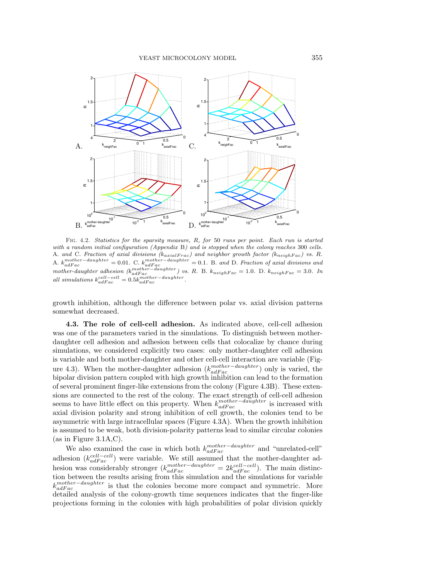

Fig. 4.2. Statistics for the sparsity measure, R, for 50 runs per point. Each run is started with a random initial configuration (Appendix B) and is stopped when the colony reaches 300 cells. A. and C. Fraction of axial divisions  $(k_{axialFrac})$  and neighbor growth factor  $(k_{neighFac})$  vs. R. A.  $k_{adFac}^{mother-daughter} = 0.01$ . C.  $k_{adFac}^{mother-daughter} = 0.1$ . B. and D. Fraction of axial divisions and mother-daughter adhesion  $(k_{adFac}^{mother-daughter})$  vs. R. B.  $k_{neighFac} = 1.0$ . D.  $k_{neighFac} = 3.0$ . In all simulations  $k_{adFac}^{cell-cell} = 0.5k_{adFac}^{mother-daughter}$ .

growth inhibition, although the difference between polar vs. axial division patterns somewhat decreased.

**4.3. The role of cell-cell adhesion.** As indicated above, cell-cell adhesion was one of the parameters varied in the simulations. To distinguish between motherdaughter cell adhesion and adhesion between cells that colocalize by chance during simulations, we considered explicitly two cases: only mother-daughter cell adhesion is variable and both mother-daughter and other cell-cell interaction are variable (Figure 4.3). When the mother-daughter adhesion  $(k_{adFac}^{mother-daughter})$  only is varied, the bipolar division pattern coupled with high growth inhibition can lead to the formation of several prominent finger-like extensions from the colony (Figure 4.3B). These extensions are connected to the rest of the colony. The exact strength of cell-cell adhesion seems to have little effect on this property. When  $k_{adFac}^{mother-daughter}$  is increased with axial division polarity and strong inhibition of cell growth, the colonies tend to be asymmetric with large intracellular spaces (Figure 4.3A). When the growth inhibition is assumed to be weak, both division-polarity patterns lead to similar circular colonies (as in Figure 3.1A,C).

We also examined the case in which both  $k_{adFac}^{mother-daughter}$  and "unrelated-cell" adhesion  $(k_{adFac}^{cell-cell})$  were variable. We still assumed that the mother-daughter adhesion was considerably stronger  $(k_{adFac}^{mother-daughter} = 2k_{adFac}^{cell-cell})$ . The main distinction between the results arising from this simulation and the simulations for variable  $k_{adFac}^{mother-daughter}$  is that the colonies become more compact and symmetric. More detailed analysis of the colony-growth time sequences indicates that the finger-like projections forming in the colonies with high probabilities of polar division quickly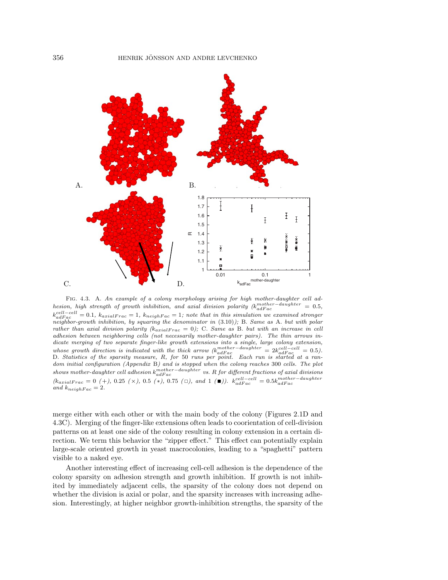

Fig. 4.3. A. An example of a colony morphology arising for high mother-daughter cell adhesion, high strength of growth inhibition, and axial division polarity  $(k_{adFac}^{mother-daughter} = 0.5,$  $k_{adFac}^{cell-cell} = 0.1$ ,  $k_{axialFrac} = 1$ ,  $k_{neighFac} = 1$ ; note that in this simulation we examined stronger neighbor-growth inhibition, by squaring the denominator in (3.10)); B. Same as A. but with polar rather than axial division polarity ( $k_{axialF\,rac{m}{2}}$  0); C. Same as B. but with an increase in cell adhesion between neighboring cells (not necessarily mother-daughter pairs). The thin arrows indicate merging of two separate finger-like growth extensions into a single, large colony extension, whose growth direction is indicated with the thick arrow  $(k_{adFac}^{mother-daughter} = 2k_{adFac}^{cell-cell} = 0.5)$ . D. Statistics of the sparsity measure, R, for 50 runs per point. Each run is started at a random initial configuration (Appendix B) and is stopped when the colony reaches 300 cells. The plot  $shows\ mother-daughter\ cell\ adhesion\ k_{adFac}^{mother-daughter}$  vs. R for different fractions of axial divisions  $(k_{axialFrac} = 0$  (+), 0.25 ( $\times$ ), 0.5 (\*), 0.75 (□), and 1 (■)).  $k_{adFac}^{cell-cell} = 0.5k_{adFac}^{mother-daughter}$ and  $k_{neighFac} = 2$ .

merge either with each other or with the main body of the colony (Figures 2.1D and 4.3C). Merging of the finger-like extensions often leads to coorientation of cell-division patterns on at least one side of the colony resulting in colony extension in a certain direction. We term this behavior the "zipper effect." This effect can potentially explain large-scale oriented growth in yeast macrocolonies, leading to a "spaghetti" pattern visible to a naked eye.

Another interesting effect of increasing cell-cell adhesion is the dependence of the colony sparsity on adhesion strength and growth inhibition. If growth is not inhibited by immediately adjacent cells, the sparsity of the colony does not depend on whether the division is axial or polar, and the sparsity increases with increasing adhesion. Interestingly, at higher neighbor growth-inhibition strengths, the sparsity of the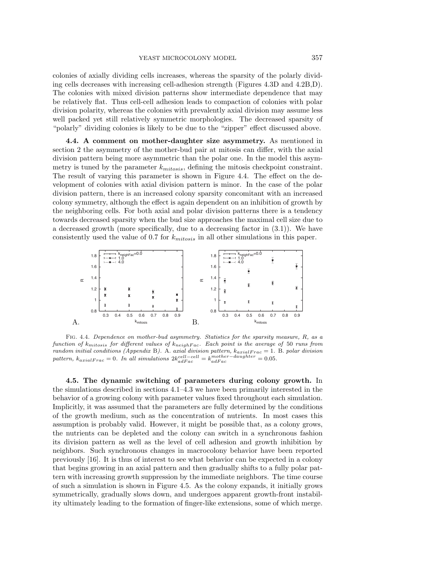colonies of axially dividing cells increases, whereas the sparsity of the polarly dividing cells decreases with increasing cell-adhesion strength (Figures 4.3D and 4.2B,D). The colonies with mixed division patterns show intermediate dependence that may be relatively flat. Thus cell-cell adhesion leads to compaction of colonies with polar division polarity, whereas the colonies with prevalently axial division may assume less well packed yet still relatively symmetric morphologies. The decreased sparsity of "polarly" dividing colonies is likely to be due to the "zipper" effect discussed above.

**4.4. A comment on mother-daughter size asymmetry.** As mentioned in section 2 the asymmetry of the mother-bud pair at mitosis can differ, with the axial division pattern being more asymmetric than the polar one. In the model this asymmetry is tuned by the parameter  $k_{mitosis}$ , defining the mitosis checkpoint constraint. The result of varying this parameter is shown in Figure 4.4. The effect on the development of colonies with axial division pattern is minor. In the case of the polar division pattern, there is an increased colony sparsity concomitant with an increased colony symmetry, although the effect is again dependent on an inhibition of growth by the neighboring cells. For both axial and polar division patterns there is a tendency towards decreased sparsity when the bud size approaches the maximal cell size due to a decreased growth (more specifically, due to a decreasing factor in (3.1)). We have consistently used the value of 0.7 for  $k_{mitosis}$  in all other simulations in this paper.



Fig. 4.4. Dependence on mother-bud asymmetry. Statistics for the sparsity measure, R, as a function of  $k_{mitosis}$  for different values of  $k_{neighFac}$ . Each point is the average of 50 runs from random initial conditions (Appendix B). A. axial division pattern,  $k_{axialFrac} = 1$ . B. polar division pattern,  $k_{axialFrac} = 0$ . In all simulations  $2k_{adFac}^{cell-cell} = k_{adFac}^{mother-daughter} = 0.05$ .

**4.5. The dynamic switching of parameters during colony growth.** In the simulations described in sections 4.1–4.3 we have been primarily interested in the behavior of a growing colony with parameter values fixed throughout each simulation. Implicitly, it was assumed that the parameters are fully determined by the conditions of the growth medium, such as the concentration of nutrients. In most cases this assumption is probably valid. However, it might be possible that, as a colony grows, the nutrients can be depleted and the colony can switch in a synchronous fashion its division pattern as well as the level of cell adhesion and growth inhibition by neighbors. Such synchronous changes in macrocolony behavior have been reported previously [16]. It is thus of interest to see what behavior can be expected in a colony that begins growing in an axial pattern and then gradually shifts to a fully polar pattern with increasing growth suppression by the immediate neighbors. The time course of such a simulation is shown in Figure 4.5. As the colony expands, it initially grows symmetrically, gradually slows down, and undergoes apparent growth-front instability ultimately leading to the formation of finger-like extensions, some of which merge.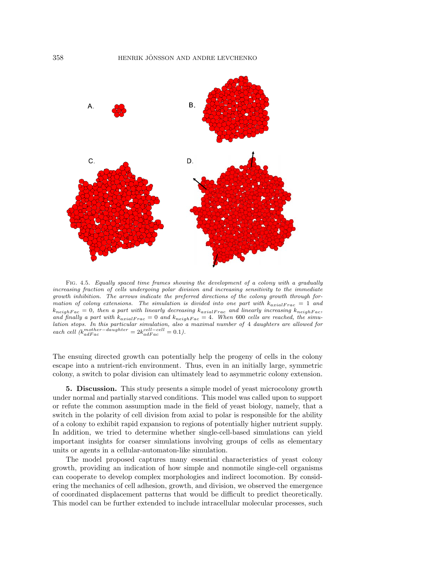

Fig. 4.5. Equally spaced time frames showing the development of a colony with a gradually increasing fraction of cells undergoing polar division and increasing sensitivity to the immediate growth inhibition. The arrows indicate the preferred directions of the colony growth through formation of colony extensions. The simulation is divided into one part with  $k_{axialFrac} = 1$  and  $k_{neighFac} = 0$ , then a part with linearly decreasing  $k_{axialFrac}$  and linearly increasing  $k_{neighFac}$ , and finally a part with  $k_{axialFrac} = 0$  and  $k_{neighFac} = 4$ . When 600 cells are reached, the simulation stops. In this particular simulation, also a maximal number of 4 daughters are allowed for each cell  $(k_{adFac}^{mother-daughter} = 2k_{adFac}^{cell-cell} = 0.1).$ 

The ensuing directed growth can potentially help the progeny of cells in the colony escape into a nutrient-rich environment. Thus, even in an initially large, symmetric colony, a switch to polar division can ultimately lead to asymmetric colony extension.

**5. Discussion.** This study presents a simple model of yeast microcolony growth under normal and partially starved conditions. This model was called upon to support or refute the common assumption made in the field of yeast biology, namely, that a switch in the polarity of cell division from axial to polar is responsible for the ability of a colony to exhibit rapid expansion to regions of potentially higher nutrient supply. In addition, we tried to determine whether single-cell-based simulations can yield important insights for coarser simulations involving groups of cells as elementary units or agents in a cellular-automaton-like simulation.

The model proposed captures many essential characteristics of yeast colony growth, providing an indication of how simple and nonmotile single-cell organisms can cooperate to develop complex morphologies and indirect locomotion. By considering the mechanics of cell adhesion, growth, and division, we observed the emergence of coordinated displacement patterns that would be difficult to predict theoretically. This model can be further extended to include intracellular molecular processes, such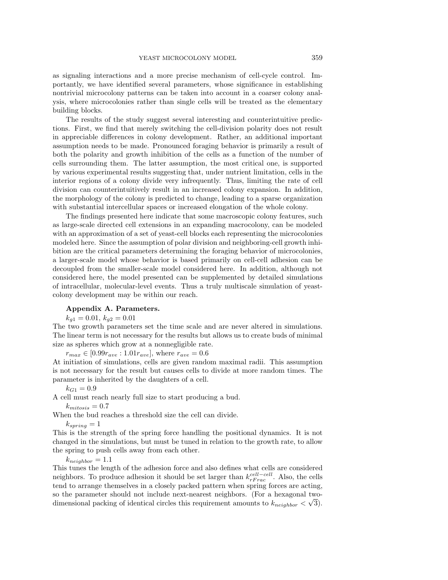as signaling interactions and a more precise mechanism of cell-cycle control. Importantly, we have identified several parameters, whose significance in establishing nontrivial microcolony patterns can be taken into account in a coarser colony analysis, where microcolonies rather than single cells will be treated as the elementary building blocks.

The results of the study suggest several interesting and counterintuitive predictions. First, we find that merely switching the cell-division polarity does not result in appreciable differences in colony development. Rather, an additional important assumption needs to be made. Pronounced foraging behavior is primarily a result of both the polarity and growth inhibition of the cells as a function of the number of cells surrounding them. The latter assumption, the most critical one, is supported by various experimental results suggesting that, under nutrient limitation, cells in the interior regions of a colony divide very infrequently. Thus, limiting the rate of cell division can counterintuitively result in an increased colony expansion. In addition, the morphology of the colony is predicted to change, leading to a sparse organization with substantial intercellular spaces or increased elongation of the whole colony.

The findings presented here indicate that some macroscopic colony features, such as large-scale directed cell extensions in an expanding macrocolony, can be modeled with an approximation of a set of yeast-cell blocks each representing the microcolonies modeled here. Since the assumption of polar division and neighboring-cell growth inhibition are the critical parameters determining the foraging behavior of microcolonies, a larger-scale model whose behavior is based primarily on cell-cell adhesion can be decoupled from the smaller-scale model considered here. In addition, although not considered here, the model presented can be supplemented by detailed simulations of intracellular, molecular-level events. Thus a truly multiscale simulation of yeastcolony development may be within our reach.

### **Appendix A. Parameters.**

 $k_{g1} = 0.01, k_{g2} = 0.01$ 

The two growth parameters set the time scale and are never altered in simulations. The linear term is not necessary for the results but allows us to create buds of minimal size as spheres which grow at a nonnegligible rate.

 $r_{max} \in [0.99r_{ave} : 1.01r_{ave}],$  where  $r_{ave} = 0.6$ 

At initiation of simulations, cells are given random maximal radii. This assumption is not necessary for the result but causes cells to divide at more random times. The parameter is inherited by the daughters of a cell.

$$
k_{G1}=0.9
$$

A cell must reach nearly full size to start producing a bud.

 $k_{mitosis} = 0.7$ 

When the bud reaches a threshold size the cell can divide.

 $k_{sprina} = 1$ 

This is the strength of the spring force handling the positional dynamics. It is not changed in the simulations, but must be tuned in relation to the growth rate, to allow the spring to push cells away from each other.

 $k_{neighbor} = 1.1$ 

This tunes the length of the adhesion force and also defines what cells are considered neighbors. To produce adhesion it should be set larger than  $k_{rFrac}^{cell-cell}$ . Also, the cells tend to arrange themselves in a closely packed pattern when spring forces are acting, so the parameter should not include next-nearest neighbors. (For a hexagonal twodimensional packing of identical circles this requirement amounts to  $k_{neighbor} < \sqrt{3}$ .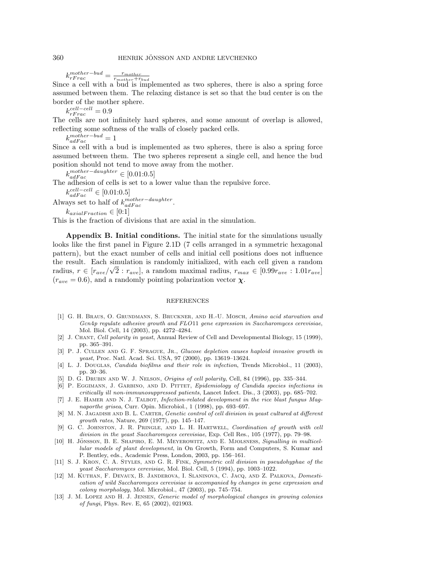$k_{rFrac}^{mother-bud} = \frac{r_{mother}}{r_{mother}+r_{bud}}$ 

Since a cell with a bud is implemented as two spheres, there is also a spring force assumed between them. The relaxing distance is set so that the bud center is on the border of the mother sphere.

 $k_{rFrac}^{cell-cell} = 0.9$ 

The cells are not infinitely hard spheres, and some amount of overlap is allowed, reflecting some softness of the walls of closely packed cells.

 $k_{adFac}^{mother-bud} = 1$ 

Since a cell with a bud is implemented as two spheres, there is also a spring force assumed between them. The two spheres represent a single cell, and hence the bud position should not tend to move away from the mother.

 $k_{adFac}^{mother-daughter} \in [0.01:0.5]$ 

The adhesion of cells is set to a lower value than the repulsive force.

 $k_{adFac}^{cell-cell} \in [0.01:0.5]$ 

Always set to half of  $k_{adFac}^{mother-daughter}$ .

 $k_{axial Fraction} \in [0:1]$ 

This is the fraction of divisions that are axial in the simulation.

**Appendix B. Initial conditions.** The initial state for the simulations usually looks like the first panel in Figure 2.1D (7 cells arranged in a symmetric hexagonal pattern), but the exact number of cells and initial cell positions does not influence the result. Each simulation is randomly initialized, with each cell given a random radius,  $r \in [r_{ave}/\sqrt{2} : r_{ave}]$ , a random maximal radius,  $r_{max} \in [0.99r_{ave} : 1.01r_{ave}]$  $(r_{ave} = 0.6)$ , and a randomly pointing polarization vector *χ*.

### REFERENCES

- [1] G. H. Braus, O. Grundmann, S. Bruckner, and H.-U. Mosch, Amino acid starvation and Gcn4p regulate adhesive growth and FLO11 gene expression in Saccharomyces cerevisiae, Mol. Biol. Cell, 14 (2003), pp. 4272–4284.
- [2] J. Chant, Cell polarity in yeast, Annual Review of Cell and Developmental Biology, 15 (1999), pp. 365–391.
- [3] P. J. CULLEN AND G. F. SPRAGUE, JR., Glucose depletion causes haploid invasive growth in yeast, Proc. Natl. Acad. Sci. USA, 97 (2000), pp. 13619–13624.
- [4] L. J. DOUGLAS, *Candida biofilms and their role in infection*, Trends Microbiol., 11 (2003), pp. 30–36.
- [5] D. G. DRUBIN AND W. J. NELSON, *Origins of cell polarity*, Cell, 84 (1996), pp. 335–344.
- [6] P. EGGIMANN, J. GARBINO, AND D. PITTET, Epidemiology of Candida species infections in critically ill non-immunosuppressed patients, Lancet Infect. Dis., 3 (2003), pp. 685–702.
- [7] J. E. HAMER AND N. J. TALBOT, Infection-related development in the rice blast fungus Magnaporthe grisea, Curr. Opin. Microbiol., 1 (1998), pp. 693–697.
- [8] M. N. JAGADISH AND B. L. CARTER, Genetic control of cell division in yeast cultured at different growth rates, Nature, 269 (1977), pp. 145–147.
- [9] G. C. Johnston, J. R. Pringle, and L. H. Hartwell, Coordination of growth with cell division in the yeast Saccharomyces cerevisiae, Exp. Cell Res., 105 (1977), pp. 79–98.
- [10] H. JÖNSSON, B. E. SHAPIRO, E. M. MEYEROWITZ, AND E. MJOLSNESS, Signalling in multicellular models of plant development, in On Growth, Form and Computers, S. Kumar and P. Bentley, eds., Academic Press, London, 2003, pp. 156–161.
- [11] S. J. Kron, C. A. Styles, and G. R. Fink, Symmetric cell division in pseudohyphae of the yeast Saccharomyces cerevisiae, Mol. Biol. Cell, 5 (1994), pp. 1003–1022.
- [12] M. Kuthan, F. Devaux, B. Janderova, I. Slaninova, C. Jacq, and Z. Palkova, Domestication of wild Saccharomyces cerevisiae is accompanied by changes in gene expression and colony morphology, Mol. Microbiol., 47 (2003), pp. 745–754.
- [13] J. M. LOPEZ AND H. J. JENSEN, Generic model of morphological changes in growing colonies of fungi, Phys. Rev. E, 65 (2002), 021903.